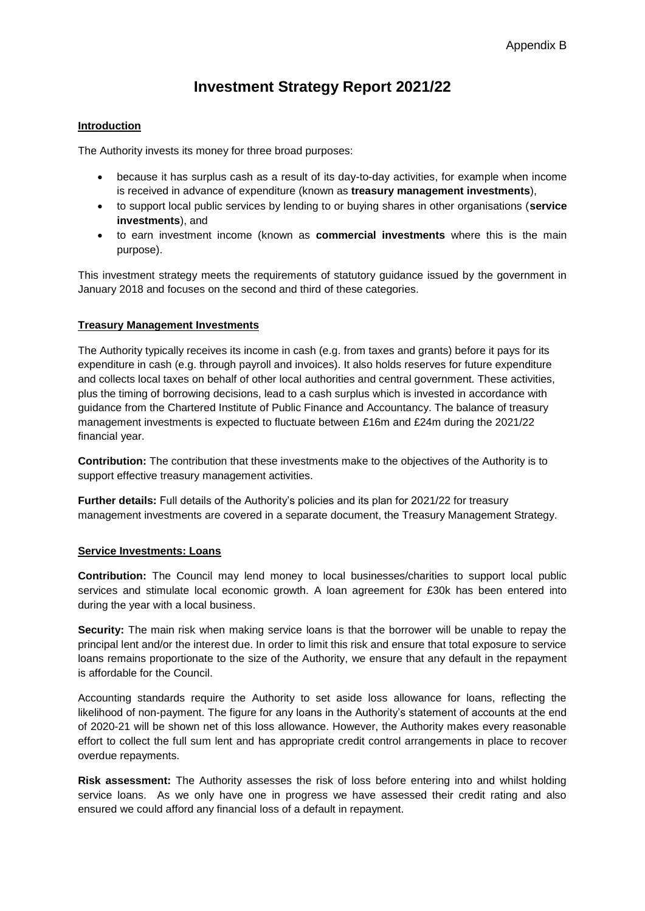# **Investment Strategy Report 2021/22**

# **Introduction**

The Authority invests its money for three broad purposes:

- because it has surplus cash as a result of its day-to-day activities, for example when income is received in advance of expenditure (known as **treasury management investments**),
- to support local public services by lending to or buying shares in other organisations (**service investments**), and
- to earn investment income (known as **commercial investments** where this is the main purpose).

This investment strategy meets the requirements of statutory guidance issued by the government in January 2018 and focuses on the second and third of these categories.

# **Treasury Management Investments**

The Authority typically receives its income in cash (e.g. from taxes and grants) before it pays for its expenditure in cash (e.g. through payroll and invoices). It also holds reserves for future expenditure and collects local taxes on behalf of other local authorities and central government. These activities, plus the timing of borrowing decisions, lead to a cash surplus which is invested in accordance with guidance from the Chartered Institute of Public Finance and Accountancy. The balance of treasury management investments is expected to fluctuate between £16m and £24m during the 2021/22 financial year.

**Contribution:** The contribution that these investments make to the objectives of the Authority is to support effective treasury management activities.

**Further details:** Full details of the Authority's policies and its plan for 2021/22 for treasury management investments are covered in a separate document, the Treasury Management Strategy.

#### **Service Investments: Loans**

**Contribution:** The Council may lend money to local businesses/charities to support local public services and stimulate local economic growth. A loan agreement for £30k has been entered into during the year with a local business.

**Security:** The main risk when making service loans is that the borrower will be unable to repay the principal lent and/or the interest due. In order to limit this risk and ensure that total exposure to service loans remains proportionate to the size of the Authority, we ensure that any default in the repayment is affordable for the Council.

Accounting standards require the Authority to set aside loss allowance for loans, reflecting the likelihood of non-payment. The figure for any loans in the Authority's statement of accounts at the end of 2020-21 will be shown net of this loss allowance. However, the Authority makes every reasonable effort to collect the full sum lent and has appropriate credit control arrangements in place to recover overdue repayments.

**Risk assessment:** The Authority assesses the risk of loss before entering into and whilst holding service loans. As we only have one in progress we have assessed their credit rating and also ensured we could afford any financial loss of a default in repayment.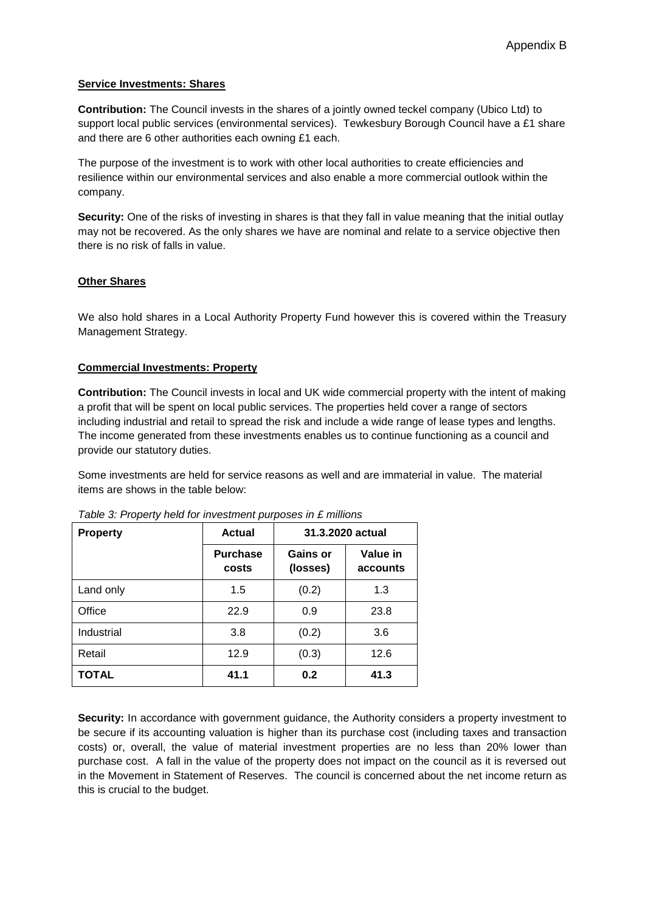## **Service Investments: Shares**

**Contribution:** The Council invests in the shares of a jointly owned teckel company (Ubico Ltd) to support local public services (environmental services). Tewkesbury Borough Council have a £1 share and there are 6 other authorities each owning £1 each.

The purpose of the investment is to work with other local authorities to create efficiencies and resilience within our environmental services and also enable a more commercial outlook within the company.

**Security:** One of the risks of investing in shares is that they fall in value meaning that the initial outlay may not be recovered. As the only shares we have are nominal and relate to a service objective then there is no risk of falls in value.

## **Other Shares**

We also hold shares in a Local Authority Property Fund however this is covered within the Treasury Management Strategy.

## **Commercial Investments: Property**

**Contribution:** The Council invests in local and UK wide commercial property with the intent of making a profit that will be spent on local public services. The properties held cover a range of sectors including industrial and retail to spread the risk and include a wide range of lease types and lengths. The income generated from these investments enables us to continue functioning as a council and provide our statutory duties.

Some investments are held for service reasons as well and are immaterial in value. The material items are shows in the table below:

| <b>Property</b> | Actual                   | 31.3.2020 actual     |                      |
|-----------------|--------------------------|----------------------|----------------------|
|                 | <b>Purchase</b><br>costs | Gains or<br>(losses) | Value in<br>accounts |
| Land only       | 1.5                      | (0.2)                | 1.3                  |
| Office          | 22.9                     | 0.9                  | 23.8                 |
| Industrial      | 3.8                      | (0.2)                | 3.6                  |
| Retail          | 12.9                     | (0.3)                | 12.6                 |
| <b>TOTAL</b>    | 41.1                     | 0.2                  | 41.3                 |

*Table 3: Property held for investment purposes in £ millions*

**Security:** In accordance with government guidance, the Authority considers a property investment to be secure if its accounting valuation is higher than its purchase cost (including taxes and transaction costs) or, overall, the value of material investment properties are no less than 20% lower than purchase cost. A fall in the value of the property does not impact on the council as it is reversed out in the Movement in Statement of Reserves. The council is concerned about the net income return as this is crucial to the budget.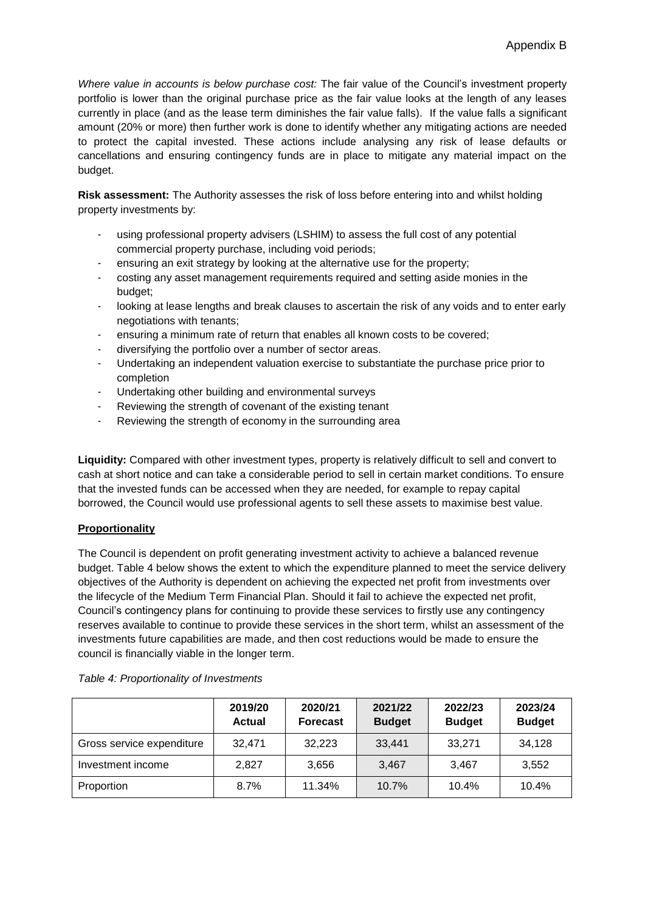*Where value in accounts is below purchase cost:* The fair value of the Council's investment property portfolio is lower than the original purchase price as the fair value looks at the length of any leases currently in place (and as the lease term diminishes the fair value falls). If the value falls a significant amount (20% or more) then further work is done to identify whether any mitigating actions are needed to protect the capital invested. These actions include analysing any risk of lease defaults or cancellations and ensuring contingency funds are in place to mitigate any material impact on the budget.

**Risk assessment:** The Authority assesses the risk of loss before entering into and whilst holding property investments by:

- using professional property advisers (LSHIM) to assess the full cost of any potential commercial property purchase, including void periods;
- ensuring an exit strategy by looking at the alternative use for the property;
- costing any asset management requirements required and setting aside monies in the budget;
- looking at lease lengths and break clauses to ascertain the risk of any voids and to enter early negotiations with tenants;
- ensuring a minimum rate of return that enables all known costs to be covered;
- diversifying the portfolio over a number of sector areas.
- Undertaking an independent valuation exercise to substantiate the purchase price prior to completion
- Undertaking other building and environmental surveys
- Reviewing the strength of covenant of the existing tenant
- Reviewing the strength of economy in the surrounding area

**Liquidity:** Compared with other investment types, property is relatively difficult to sell and convert to cash at short notice and can take a considerable period to sell in certain market conditions. To ensure that the invested funds can be accessed when they are needed, for example to repay capital borrowed, the Council would use professional agents to sell these assets to maximise best value.

# **Proportionality**

The Council is dependent on profit generating investment activity to achieve a balanced revenue budget. Table 4 below shows the extent to which the expenditure planned to meet the service delivery objectives of the Authority is dependent on achieving the expected net profit from investments over the lifecycle of the Medium Term Financial Plan. Should it fail to achieve the expected net profit, Council's contingency plans for continuing to provide these services to firstly use any contingency reserves available to continue to provide these services in the short term, whilst an assessment of the investments future capabilities are made, and then cost reductions would be made to ensure the council is financially viable in the longer term.

|                           | 2019/20<br><b>Actual</b> | 2020/21<br><b>Forecast</b> | 2021/22<br><b>Budget</b> | 2022/23<br><b>Budget</b> | 2023/24<br><b>Budget</b> |
|---------------------------|--------------------------|----------------------------|--------------------------|--------------------------|--------------------------|
| Gross service expenditure | 32,471                   | 32,223                     | 33,441                   | 33,271                   | 34,128                   |
| Investment income         | 2.827                    | 3,656                      | 3.467                    | 3.467                    | 3,552                    |
| Proportion                | 8.7%                     | 11.34%                     | 10.7%                    | 10.4%                    | 10.4%                    |

#### *Table 4: Proportionality of Investments*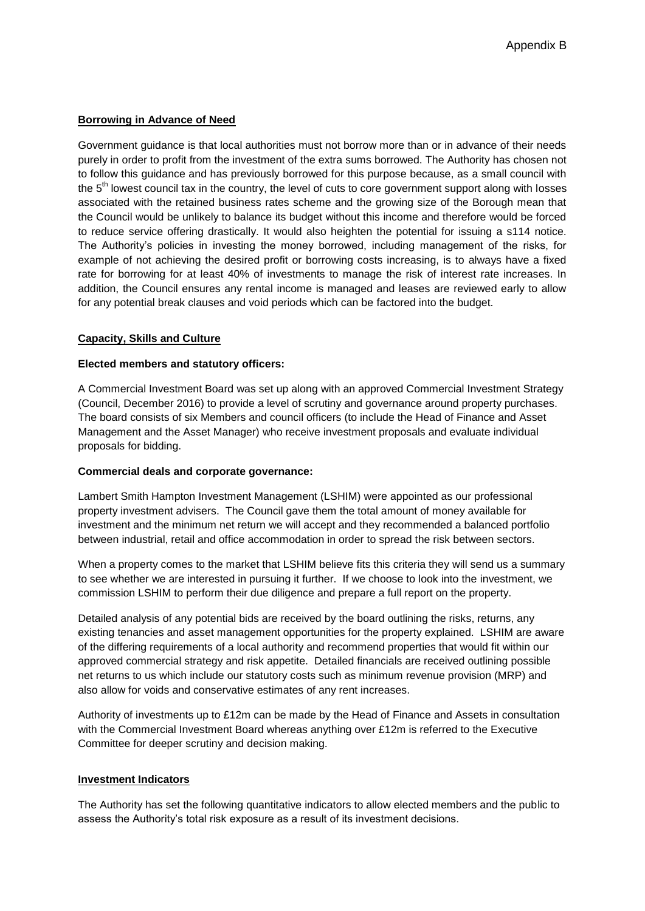# **Borrowing in Advance of Need**

Government guidance is that local authorities must not borrow more than or in advance of their needs purely in order to profit from the investment of the extra sums borrowed. The Authority has chosen not to follow this guidance and has previously borrowed for this purpose because, as a small council with the 5<sup>th</sup> lowest council tax in the country, the level of cuts to core government support along with losses associated with the retained business rates scheme and the growing size of the Borough mean that the Council would be unlikely to balance its budget without this income and therefore would be forced to reduce service offering drastically. It would also heighten the potential for issuing a s114 notice. The Authority's policies in investing the money borrowed, including management of the risks, for example of not achieving the desired profit or borrowing costs increasing, is to always have a fixed rate for borrowing for at least 40% of investments to manage the risk of interest rate increases. In addition, the Council ensures any rental income is managed and leases are reviewed early to allow for any potential break clauses and void periods which can be factored into the budget.

## **Capacity, Skills and Culture**

## **Elected members and statutory officers:**

A Commercial Investment Board was set up along with an approved Commercial Investment Strategy (Council, December 2016) to provide a level of scrutiny and governance around property purchases. The board consists of six Members and council officers (to include the Head of Finance and Asset Management and the Asset Manager) who receive investment proposals and evaluate individual proposals for bidding.

#### **Commercial deals and corporate governance:**

Lambert Smith Hampton Investment Management (LSHIM) were appointed as our professional property investment advisers. The Council gave them the total amount of money available for investment and the minimum net return we will accept and they recommended a balanced portfolio between industrial, retail and office accommodation in order to spread the risk between sectors.

When a property comes to the market that LSHIM believe fits this criteria they will send us a summary to see whether we are interested in pursuing it further. If we choose to look into the investment, we commission LSHIM to perform their due diligence and prepare a full report on the property.

Detailed analysis of any potential bids are received by the board outlining the risks, returns, any existing tenancies and asset management opportunities for the property explained. LSHIM are aware of the differing requirements of a local authority and recommend properties that would fit within our approved commercial strategy and risk appetite. Detailed financials are received outlining possible net returns to us which include our statutory costs such as minimum revenue provision (MRP) and also allow for voids and conservative estimates of any rent increases.

Authority of investments up to £12m can be made by the Head of Finance and Assets in consultation with the Commercial Investment Board whereas anything over £12m is referred to the Executive Committee for deeper scrutiny and decision making.

#### **Investment Indicators**

The Authority has set the following quantitative indicators to allow elected members and the public to assess the Authority's total risk exposure as a result of its investment decisions.